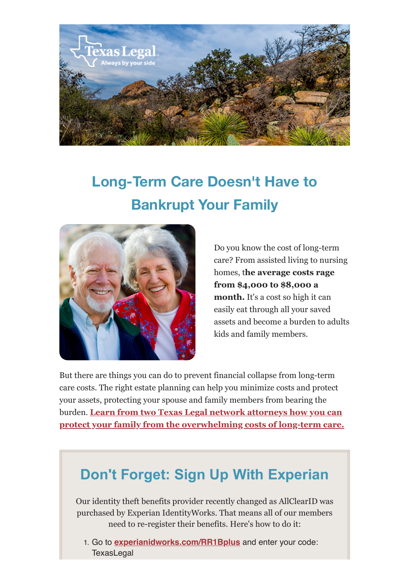

## **Long-Term Care Doesn't Have to Bankrupt Your Family**



Do you know the cost of long-term care? From assisted living to nursing homes, t**he average costs rage from \$4,000 to \$8,000 a month.** It's a cost so high it can easily eat through all your saved assets and become a burden to adults kids and family members.

But there are things you can do to prevent financial collapse from long-term care costs. The right estate planning can help you minimize costs and protect your assets, protecting your spouse and family members from bearing the burden. **[Learn from two Texas Legal network attorneys how you can](https://texaslegal.org/texaslegal-blog/dont-let-long-term-care-bankrupt-your-family-the-right-estate-planning-can-help) [protect your family from the overwhelming costs of long-term care.](https://texaslegal.org/texaslegal-blog/dont-let-long-term-care-bankrupt-your-family-the-right-estate-planning-can-help)**

## **Don't Forget: Sign Up With Experian**

Our identity theft benefits provider recently changed as AllClearID was purchased by Experian IdentityWorks. That means all of our members need to re-register their benefits. Here's how to do it: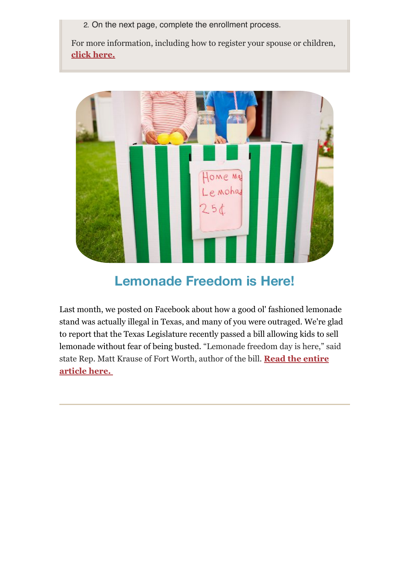For more information, including how to register your spouse or children, **[click here.](https://texaslegal.org/texaslegal-blog/new-id-theft-benefits-every-texas-legal-member)**



## **Lemonade Freedom is Here!**

Last month, we posted on Facebook about how a good ol' fashioned lemonade stand was actually illegal in Texas, and many of you were outraged. We're glad to report that the Texas Legislature recently passed a bill allowing kids to sell lemonade without fear of being busted. "Lemonade freedom day is here," said state Rep. Matt Krause of Fort Worth, author of the bill. **[Read the entire](https://www.star-telegram.com/news/state/texas/article230743954.html) [article here.](https://www.star-telegram.com/news/state/texas/article230743954.html)**